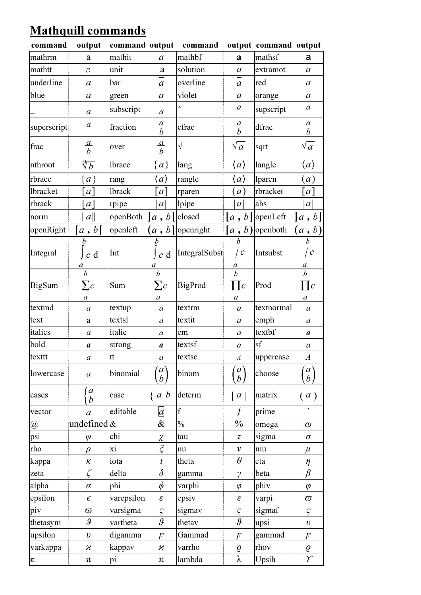## Mathquill commands

| command         | output                               | command output |                                                  | command       |                                                | output command output |                                                      |
|-----------------|--------------------------------------|----------------|--------------------------------------------------|---------------|------------------------------------------------|-----------------------|------------------------------------------------------|
| mathrm          | a                                    | mathit         | $\boldsymbol{a}$                                 | mathbf        | a                                              | mathsf                | a                                                    |
| mathtt          | a                                    | unit           | a                                                | solution      | $\mathfrak a$                                  | extramot              | $\mathfrak a$                                        |
| underline       | $\boldsymbol{a}$                     | bar            | $\boldsymbol{a}$                                 | overline      | $\mathfrak a$                                  | red                   | $\alpha$                                             |
| blue            | $\boldsymbol{a}$                     | green          | $\boldsymbol{a}$                                 | violet        | $\alpha$                                       | orange                | $\mathfrak a$                                        |
|                 | $\boldsymbol{a}$                     | subscript      | $\boldsymbol{a}$                                 | Λ             | $\boldsymbol{a}$                               | supscript             | $\boldsymbol{a}$                                     |
| superscript     | $\boldsymbol{a}$                     | fraction       | $rac{a}{b}$                                      | cfrac         | $rac{a}{b}$                                    | dfrac                 | $rac{a}{b}$                                          |
| frac            | $rac{a}{b}$                          | over           | $rac{a}{b}$                                      | $\sqrt{}$     | $\sqrt{a}$                                     | sqrt                  | $\sqrt{a}$                                           |
| nthroot         | $\sqrt[q]{b}$                        | <b>lbrace</b>  | ${a}$                                            | lang          | $\langle a \rangle$                            | langle                | $\langle a \rangle$                                  |
| rbrace          | ${a}$                                | rang           | $\langle a \rangle$                              | rangle        | $\langle a \rangle$                            | lparen                | $\left( a\right)$                                    |
| <b>lbracket</b> | $a$ ]                                | <b>lbrack</b>  | a                                                | rparen        | a)                                             | rbracket              | [a]                                                  |
| rbrack          | [a]                                  | rpipe          | a                                                | lpipe         | a                                              | abs                   | a                                                    |
| norm            | $\ a\ $                              | openBoth       | $a, b$ [                                         | closed        | [a, b]                                         | openLeft              | a, b                                                 |
| openRight       | a, b                                 | openleft       | $\left(a\,,\,b\right)$                           | openright     | [a, b)                                         | openboth              | $(a\,,\,b)$                                          |
| Integral        | $\boldsymbol{b}$<br>$c \, d$<br>a    | Int            | $c \, d$<br>$\boldsymbol{a}$                     | IntegralSubst | $\boldsymbol{h}$<br>$\sqrt{c}$                 | Intsubst              | $\boldsymbol{h}$<br>  $\emph{c}$<br>$\boldsymbol{a}$ |
| <b>BigSum</b>   | $\boldsymbol{b}$<br>$\sum c$<br>a    | Sum            | $\boldsymbol{b}$<br>$\sum c$<br>$\boldsymbol{a}$ | BigProd       | $\frac{a}{b}$<br>$\prod c$<br>$\boldsymbol{a}$ | Prod                  | $\overline{b}$<br>$\prod c$<br>a                     |
| textmd          | $\boldsymbol{a}$                     | textup         | $\boldsymbol{a}$                                 | textrm        | $\boldsymbol{a}$                               | textnormal            | $\boldsymbol{a}$                                     |
| text            | a                                    | textsl         | $\boldsymbol{a}$                                 | textit        | $\boldsymbol{a}$                               | emph                  | $\boldsymbol{a}$                                     |
| italics         | a                                    | italic         | a                                                | em            | a                                              | textbf                | a                                                    |
| bold            | $\boldsymbol{a}$                     | strong         | $\boldsymbol{a}$                                 | textsf        | $\boldsymbol{a}$                               | sf                    | $\boldsymbol{a}$                                     |
| texttt          | a                                    | tt             | $\boldsymbol{a}$                                 | textsc        | A                                              | uppercase             | A                                                    |
| lowercase       | $\boldsymbol{a}$                     | binomial       | $\begin{matrix} a \\ b \end{matrix}$             | binom         | $\mathfrak{a}$<br>$\boldsymbol{b}$             | choose                | $\begin{matrix} a \\ b \end{matrix}$                 |
| cases           | $\boldsymbol{a}$<br>$\boldsymbol{b}$ | case           | $\{a\;b\}$                                       | determ        | a                                              | matrix                | (a)                                                  |
| vector          | $\boldsymbol{a}$                     | editable       | $\overline{a}$                                   | $\mathbf f$   | $\boldsymbol{f}$                               | prime                 | $\pmb{r}$                                            |
| @               | undefined $\&$                       |                | &                                                | $\frac{0}{0}$ | $\frac{0}{0}$                                  | omega                 | $\omega$                                             |
| psi             | $\psi$                               | chi            | $\chi$                                           | tau           | τ                                              | sigma                 | $\sigma$                                             |
| rho             | $\rho$                               | хi             | $\boldsymbol{\xi}$                               | nu            | $\mathcal V$                                   | mu                    | $\mu$                                                |
| kappa           | $\kappa$                             | iota           | $\boldsymbol{l}$                                 | theta         | $\theta$                                       | eta                   | $\eta$                                               |
| zeta            | ζ                                    | delta          | $\delta$                                         | gamma         | $\gamma$                                       | beta                  | $\beta$                                              |
| alpha           | $\alpha$                             | phi            | $\phi$                                           | varphi        | $\varphi$                                      | phiv                  | $\varphi$                                            |
| epsilon         | $\epsilon$                           | varepsilon     | $\pmb{\mathcal{E}}$                              | epsiv         | $\pmb{\varepsilon}$                            | varpi                 | $\varpi$                                             |
| piv             | $\varpi$                             | varsigma       | $\varsigma$                                      | sigmav        | $\varsigma$                                    | sigmaf                | $\varsigma$                                          |
| thetasym        | $\vartheta$                          | vartheta       | 9                                                | thetav        | $\boldsymbol{\vartheta}$                       | upsi                  | $\boldsymbol{\upsilon}$                              |
| upsilon         | $\boldsymbol{v}$                     | digamma        | F                                                | Gammad        | $\overline{F}$                                 | gammad                | F                                                    |
| varkappa        | $\boldsymbol{\varkappa}$             | kappav         | $\boldsymbol{\varkappa}$                         | varrho        | $\varrho$                                      | rhov                  | $\varrho$                                            |
| $\pi$           | $\pi$                                | pi             | π                                                | lambda        | λ                                              | Upsih                 | $\overline{Y}$                                       |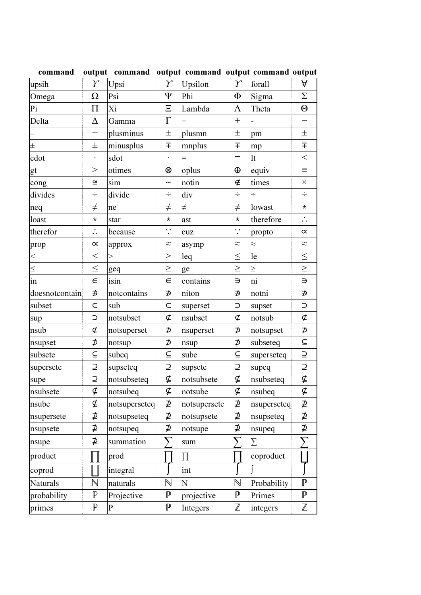| command         |                | output command output command output command output |                |              |                 |             |                          |
|-----------------|----------------|-----------------------------------------------------|----------------|--------------|-----------------|-------------|--------------------------|
| upsih           | $\gamma$       | Upsi                                                | $\gamma$       | Upsilon      | $\gamma$        | forall      | A                        |
| Omega           | $\Omega$       | Psi                                                 | Ψ              | Phi          | Φ               | Sigma       | $\Sigma$                 |
| Pi              | $\Pi$          | Xi                                                  | $\Xi$          | Lambda       | $\Lambda$       | Theta       | $\Theta$                 |
| Delta           | $\Delta$       | Gamma                                               | $\Gamma$       | $\ddot{}$    | $^{+}$          |             | $\overline{\phantom{0}}$ |
|                 |                | plusminus                                           | 士              | plusmn       | 士               | pm          | $\pm$                    |
| $\pm$           | 士              | minusplus                                           | Ŧ              | mnplus       | $\overline{+}$  | mp          | $\overline{+}$           |
| cdot            | $\bullet$      | sdot                                                | $\bullet$      | $=$          | $=$             | lt          | $\lt$                    |
| gt              | $\,>$          | otimes                                              | ⊗              | oplus        | $\oplus$        | equiv       | $\equiv$                 |
| cong            | $\cong$        | sim                                                 | $\sim$         | notin        | ∉               | times       | $\times$                 |
| divides         | $\div$         | divide                                              | $\div$         | div          | ÷               | $\div$      | $\div$                   |
| neq             | $\neq$         | ne                                                  | $\neq$         | $\neq$       | $\neq$          | lowast      | $\star$                  |
| loast           | $\star$        | star                                                | ¥              | ast          | ¥               | therefore   | $\ddot{\cdot}$           |
| therefor        | $\ddot{\cdot}$ | because                                             | $\ddot{\cdot}$ | cuz          | $\dddot{\cdot}$ | propto      | $\propto$                |
| prop            | $\propto$      | approx                                              | $\approx$      | asymp        | $\approx$       | $\approx$   | $\approx$                |
| $\leq$          | $\lt$          | $\geq$                                              | >              | leq          | $\leq$          | le          | $\leq$                   |
| $\leq$          | $\leq$         | geq                                                 | $\geq$         | ge           | $\geq$          | $\geq$      | $\frac{1}{\sqrt{1}}$     |
| $\frac{1}{\ln}$ | $\in$          | isin                                                | $\in$          | contains     | $\Rightarrow$   | ni          |                          |
| doesnotcontain  | ∌              | notcontains                                         | ∌              | niton        | ∌               | notni       | ∌                        |
| subset          | $\subset$      | sub                                                 | $\subset$      | superset     | $\supset$       | supset      | $\subset$                |
| sup             | $\supset$      | notsubset                                           | ⊄              | nsubset      | ⊄               | notsub      | ¢                        |
| nsub            | $\sigma$       | notsuperset                                         | ⊅              | nsuperset    | ⊅               | notsupset   | ⊅                        |
| nsupset         | ⊅              | notsup                                              | ⊅              | nsup         | ⊅               | subseteq    | $\subseteq$              |
| subsete         | $\subseteq$    | subeq                                               | $\subseteq$    | sube         | $\subseteq$     | superseteq  | $\supseteq$              |
| supersete       | ⊇              | supseteq                                            | ⊇              | supsete      | ⊇               | supeq       | $\overline{L}$           |
| supe            | ⊇              | notsubseteq                                         | ⊈              | notsubsete   | ⊈               | nsubseteq   | ⊈                        |
| nsubsete        | ⊈              | notsubeq                                            | ⊈              | notsube      | ⊈               | nsubeq      | ⊈                        |
| nsube           | ⊈              | notsuperseteq                                       | ⊉              | notsupersete | ⊉               | nsuperseteq | ⊉                        |
| nsupersete      | ⊉              | notsupseteq                                         | ⊉              | notsupsete   | ⊉               | nsupseteq   | ⊉                        |
| nsupsete        | ⊉              | notsupeq                                            | ⊉              | notsupe      | ⊉               | nsupeq      | ⊉                        |
| nsupe           | ⊉              | summation                                           | ↖              | sum          | ╲               | Σ           |                          |
| product         |                | prod                                                |                | $\prod$      |                 | coproduct   |                          |
| coprod          |                | integral                                            |                | int          |                 |             |                          |
| Naturals        | N              | naturals                                            | N              | N            | $\mathbb N$     | Probability | $\mathbb P$              |
| probability     | $\mathbb P$    | Projective                                          | $\mathbb P$    | projective   | $\mathbb P$     | Primes      | $\mathbb P$              |
| primes          | $\mathbb P$    | $\overline{P}$                                      | $\mathbb P$    | Integers     | $\mathbb Z$     | integers    | $\mathbb Z$              |

nmond output command output command output command output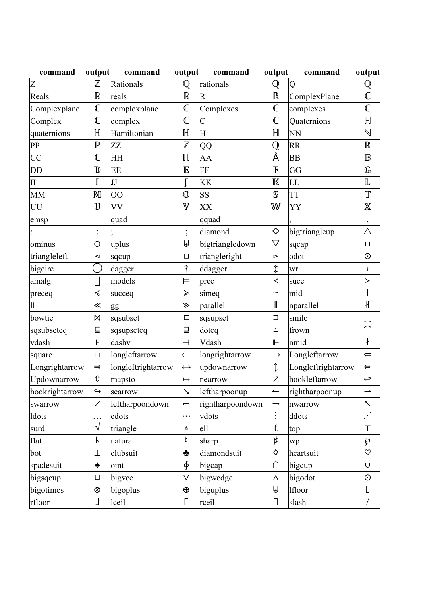| command             | output                               | command            | output                   | command                 | output                   | command            | output                           |
|---------------------|--------------------------------------|--------------------|--------------------------|-------------------------|--------------------------|--------------------|----------------------------------|
| Z                   | $\mathbb Z$                          | Rationals          | $\mathbb Q$              | rationals               | $\mathbb Q$              | Q                  | ${\mathbb Q}$                    |
| Reals               | $\mathbb R$                          | reals              | $\mathbb R$              | $\overline{R}$          | $\mathbb R$              | ComplexPlane       | $\mathbb C$                      |
| Complexplane        | $\mathbb{C}$                         | complexplane       | $\mathbb C$              | Complexes               | $\mathbb{C}$             | complexes          | $\mathbb C$                      |
| Complex             | $\mathbb{C}$                         | complex            | $\mathbb C$              | $\overline{C}$          | $\mathbb C$              | Quaternions        | $\mathbb H$                      |
| quaternions         | $\mathbb H$                          | Hamiltonian        | $\mathbb H$              | $\overline{\mathrm{H}}$ | $\mathbb H$              | N <sub>N</sub>     | $\mathbb N$                      |
| PP                  | $\mathbb P$                          | ZZ                 | $\mathbb Z$              | QQ                      | $\mathbb Q$              | RR                 | $\mathbb R$                      |
| CC                  | $\mathbb C$                          | ΗH                 | $\mathbb H$              | AA                      | Å                        | <b>BB</b>          | $\mathbb B$                      |
| DD                  | $\mathbb{D}$                         | EE                 | $\mathbb E$              | FF                      | $\mathbb F$              | GG                 | $\mathbb{G}% _{n}^{\alpha\beta}$ |
| $\overline{\rm II}$ | $\mathbb I$                          | JJ                 | J                        | KK                      | $\mathbb K$              | LL                 | $\mathbb L$                      |
| <b>MM</b>           | M                                    | $\overline{O}O$    | $\mathbb{O}$             | SS                      | $\mathbb S$              | <b>TT</b>          | $\mathbb T$                      |
| UU                  | $\mathbb U$                          | VV                 | $\mathbb V$              | XX                      | W                        | YY                 | $\mathbb X$                      |
| emsp                |                                      | quad               |                          | qquad                   |                          |                    | $\overline{\phantom{a}}$         |
|                     | $\ddot{\cdot}$                       |                    | $\vdots$                 | diamond                 | ♦                        | bigtriangleup      | $\triangle$                      |
| ominus              | $\Theta$                             | uplus              | $\uplus$                 | bigtriangledown         | $\bigtriangledown$       | sqcap              | $\Box$                           |
| triangleleft        | ◁                                    | sqcup              | $\sqcup$                 | triangleright           | $\blacktriangleright$    | odot               | $\odot$                          |
| bigcirc             | $\left(\ \right)$                    | dagger             | ÷                        | ddagger                 | ţ                        | wr                 | ₹                                |
| amalg               | l l                                  | models             | ᄇ                        | prec                    | ≺                        | succ               | $\,>$                            |
| preceq              | ≼                                    | succeq             | ≽                        | simeq                   | $\simeq$                 | mid                |                                  |
| 11                  | ≪                                    | gg                 | $\gg$                    | parallel                | $\parallel$              | nparallel          | $\pmb{\nparallel}$               |
| bowtie              | $\bowtie$                            | sqsubset           | $\Box$                   | sqsupset                | $\Box$                   | smile              |                                  |
| sqsubseteq          | $\sqsubseteq$                        | sqsupseteq         | $\sqsupseteq$            | doteq                   | $\div$                   | frown              | $\geq$                           |
| vdash               | F                                    | dashv              | $\overline{\phantom{0}}$ | Vdash                   | ⊩                        | nmid               | $\ddagger$                       |
| square              | $\Box$                               | longleftarrow      | $\leftarrow$             | longrightarrow          | $\longrightarrow$        | Longleftarrow      | $\Leftarrow$                     |
| Longrightarrow      | $\Rightarrow$                        | longleftrightarrow | $\longleftrightarrow$    | updownarrow             | $\updownarrow$           | Longleftrightarrow | $\Leftrightarrow$                |
| Updownarrow         | $\pmb{\text{\^{}}\pmb{\text{\^{}}}}$ | mapsto             | $\mapsto$                | nearrow                 | ↗                        | hookleftarrow      | $\rightarrow$                    |
| hookrightarrow      | $\hookrightarrow$                    | searrow            | $\searrow$               | leftharpoonup           | $\longleftarrow$         | rightharpoonup     | $\overline{\phantom{a}}$         |
| swarrow             | ✓                                    | leftharpoondown    | $\overline{\phantom{0}}$ | rightharpoondown        | $\overline{\phantom{a}}$ | nwarrow            | ↖                                |
| ldots               | .                                    | cdots              | $\cdots$                 | vdots                   | $\vdots$                 | ddots              | $\bar{\cdot}$                    |
| surd                | $\sqrt{}$                            | triangle           | Δ                        | ell                     | l                        | top                | $\top$                           |
| flat                | b                                    | natural            | h                        | sharp                   | $\sharp$                 | wp                 | $\wp$                            |
| bot                 | ⊥                                    | clubsuit           | ♣                        | diamondsuit             | ♦                        | heartsuit          | $\circ$                          |
| spadesuit           | ♠                                    | oint               | ∲                        | bigcap                  | $\bigcap$                | bigcup             | U                                |
| bigsqcup            | $\sqcup$                             | bigvee             | $\vee$                   | bigwedge                | Λ                        | bigodot            | $\odot$                          |
| bigotimes           | ⊗                                    | bigoplus           | $\oplus$                 | biguplus                | ⊎                        | lfloor             | L                                |
| rfloor              | L                                    | lceil              | Γ                        | rceil                   | ٦                        | slash              |                                  |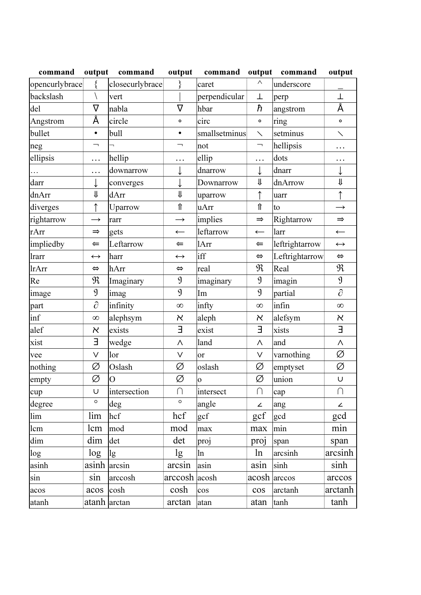| command        | output            | command         | output              | command              | output            | command        | output                  |
|----------------|-------------------|-----------------|---------------------|----------------------|-------------------|----------------|-------------------------|
| opencurlybrace |                   | closecurlybrace |                     | caret                | Λ                 | underscore     |                         |
| backslash      |                   | vert            |                     | perpendicular        | Τ                 | perp           | Τ                       |
| del            | $\rm \nabla$      | nabla           | $\overline{\nabla}$ | hbar                 | ħ                 | angstrom       | Å                       |
| Angstrom       | Å                 | circle          | $\mathbf{o}$        | circ                 | $\mathbf{o}$      | ring           | $\circ$                 |
| bullet         | ٠                 | bull            | $\bullet$           | smallsetminus        | $\diagdown$       | setminus       | $\diagdown$             |
| neg            | ⇁                 |                 | ⇁                   | not                  | ⇁                 | hellipsis      | .                       |
| ellipsis       | .                 | hellip          | $\ddotsc$           | ellip                | .                 | dots           | $\ddotsc$               |
| $\cdots$       | .                 | downarrow       | ↓                   | dnarrow              |                   | dnarr          | ↓                       |
| darr           |                   | converges       | ↓                   | Downarrow            | ⇓                 | dnArrow        | $\overline{\mathsf{I}}$ |
| dnArr          | ⇓                 | dArr            | ⇓                   | uparrow              | ↑                 | uarr           | ↑                       |
| diverges       | ↑                 | Uparrow         | ⇑                   | uArr                 | ⇑                 | to             | $\rightarrow$           |
| rightarrow     | $\rightarrow$     | rarr            | $\rightarrow$       | implies              | $\Rightarrow$     | Rightarrow     | $\Rightarrow$           |
| rArr           | $\Rightarrow$     | gets            | $\leftarrow$        | leftarrow            | $\leftarrow$      | larr           | $\leftarrow$            |
| impliedby      | $\Leftarrow$      | Leftarrow       | $\Leftarrow$        | 1Arr                 | $\Leftarrow$      | leftrightarrow | $\longleftrightarrow$   |
| lrarr          | $\leftrightarrow$ | harr            | $\leftrightarrow$   | iff                  | $\Leftrightarrow$ | Leftrightarrow | $\Leftrightarrow$       |
| lrArr          | $\Leftrightarrow$ | hArr            | $\Leftrightarrow$   | real                 | $\mathfrak{R}$    | Real           | $\mathfrak{R}$          |
| Re             | $\mathfrak{R}$    | Imaginary       | $\mathfrak{g}$      | imaginary            | $\mathfrak{g}$    | imagin         | $\mathfrak{g}$          |
| image          | $\mathfrak{g}$    | imag            | $\mathfrak{g}$      | Im                   | $\mathfrak{g}$    | partial        | $\partial$              |
| part           | $\partial$        | infinity        | $\infty$            | infty                | $\infty$          | infin          | $\infty$                |
| inf            | $\infty$          | alephsym        | א                   | aleph                | א                 | alefsym        | $\aleph$                |
| alef           | א                 | exists          | Е                   | exist                | Е                 | xists          | Е                       |
| xist           | E                 | wedge           | Λ                   | land                 | Λ                 | and            | $\wedge$                |
| vee            | V                 | lor             | $\vee$              | <sub>or</sub>        | V                 | varnothing     | Ø                       |
| nothing        | Ø                 | Oslash          | Ø                   | oslash               | Ø                 | emptyset       | Ø                       |
| empty          | Ø                 | $\overline{O}$  | Ø                   | $\mathbf 0$          | Ø                 | union          | $\cup$                  |
| cup            | U                 | intersection    | $\bigcap$           | intersect            | $\cap$            | cap            | $\cap$                  |
| degree         | $\circ$           | deg             | $\circ$             | angle                | ∠                 | ang            | ∠                       |
| lim            | lim               | hcf             | hcf                 | $\operatorname{gcf}$ | gcf               | gcd            | gcd                     |
| lcm            | lcm               | mod             | mod                 | max                  | max               | min            | min                     |
| dim            | dim               | det             | det                 | proj                 | proj              | span           | span                    |
| log            | log               | lg              | lg                  | ln                   | ln                | arcsinh        | arcsinh                 |
| asinh          | asinh arcsin      |                 | arcsin              | asin                 | asin              | sinh           | sinh                    |
| sin            | sin               | arccosh         | arccosh acosh       |                      | acosh arccos      |                | arccos                  |
| acos           | acos              | cosh            | cosh                | cos                  | cos               | arctanh        | arctanh                 |
| atanh          | atanh arctan      |                 | arctan              | atan                 | atan              | tanh           | tanh                    |